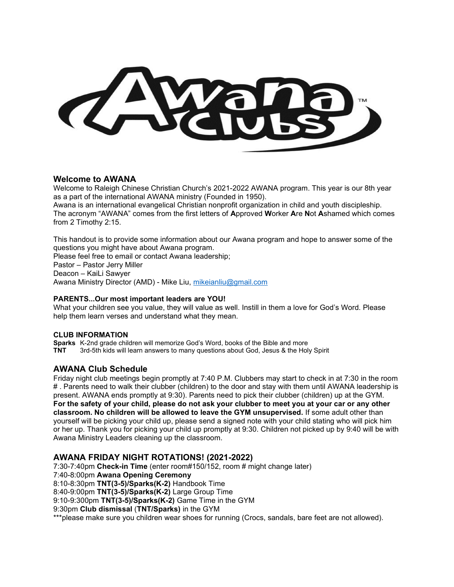#### Welcome to AWANA

Welcome to Raleigh Chinese Christian Church's 2021-2022 AWANA program. This year is our 8th year as a part of the international AWANA ministry (Founded in 1950).

Awana is an international evangelical Christian nonprofit organization in child and youth discipleship. The acronym "AWANA" comes from the first letters of Approved Worker Are Not Ashamed which comes from 2 Timothy 2:15.

This handout is to provide some information about our Awana program and hope to answer some of the questions you might have about Awana program.

Please feel free to email or contact Awana leadership; Pastor – Pastor Jerry Miller Deacon – KaiLi Sawyer Awana Ministry Director (AMD) - Mike Liu, mikeianliu@gmail.com

#### PARENTS...Our most important leaders are YOU!

What your children see you value, they will value as well. Instill in them a love for God's Word. Please help them learn verses and understand what they mean.

#### CLUB INFORMATION

Sparks K-2nd grade children will memorize God's Word, books of the Bible and more TNT 3rd-5th kids will learn answers to many questions about God, Jesus & the Holy Spirit

## AWANA Club Schedule

Friday night club meetings begin promptly at 7:40 P.M. Clubbers may start to check in at 7:30 in the room # . Parents need to walk their clubber (children) to the door and stay with them until AWANA leadership is present. AWANA ends promptly at 9:30). Parents need to pick their clubber (children) up at the GYM. For the safety of your child, please do not ask your clubber to meet you at your car or any other classroom. No children will be allowed to leave the GYM unsupervised. If some adult other than yourself will be picking your child up, please send a signed note with your child stating who will pick him or her up. Thank you for picking your child up promptly at 9:30. Children not picked up by 9:40 will be with Awana Ministry Leaders cleaning up the classroom.

## AWANA FRIDAY NIGHT ROTATIONS! (2021-2022)

7:30-7:40pm Check-in Time (enter room#150/152, room # might change later) 7:40-8:00pm Awana Opening Ceremony 8:10-8:30pm TNT(3-5)/Sparks(K-2) Handbook Time 8:40-9:00pm TNT(3-5)/Sparks(K-2) Large Group Time 9:10-9:300pm TNT(3-5)/Sparks(K-2) Game Time in the GYM 9:30pm Club dismissal (TNT/Sparks) in the GYM \*\*\*please make sure you children wear shoes for running (Crocs, sandals, bare feet are not allowed).